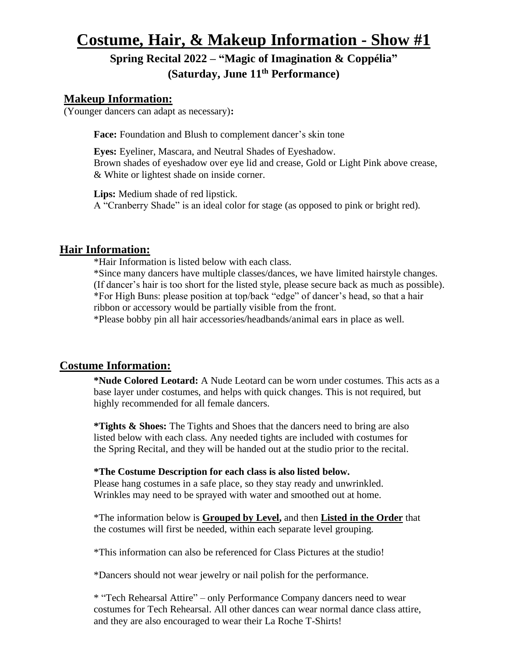# **Costume, Hair, & Makeup Information - Show #1**

# **Spring Recital 2022 – "Magic of Imagination & Coppélia" (Saturday, June 11 th Performance)**

# **Makeup Information:**

(Younger dancers can adapt as necessary)**:**

Face: Foundation and Blush to complement dancer's skin tone

**Eyes:** Eyeliner, Mascara, and Neutral Shades of Eyeshadow. Brown shades of eyeshadow over eye lid and crease, Gold or Light Pink above crease, & White or lightest shade on inside corner.

**Lips:** Medium shade of red lipstick. A "Cranberry Shade" is an ideal color for stage (as opposed to pink or bright red).

# **Hair Information:**

\*Hair Information is listed below with each class.

\*Since many dancers have multiple classes/dances, we have limited hairstyle changes. (If dancer's hair is too short for the listed style, please secure back as much as possible). \*For High Buns: please position at top/back "edge" of dancer's head, so that a hair ribbon or accessory would be partially visible from the front.

\*Please bobby pin all hair accessories/headbands/animal ears in place as well.

# **Costume Information:**

**\*Nude Colored Leotard:** A Nude Leotard can be worn under costumes. This acts as a base layer under costumes, and helps with quick changes. This is not required, but highly recommended for all female dancers.

**\*Tights & Shoes:** The Tights and Shoes that the dancers need to bring are also listed below with each class. Any needed tights are included with costumes for the Spring Recital, and they will be handed out at the studio prior to the recital.

# **\*The Costume Description for each class is also listed below.**

Please hang costumes in a safe place, so they stay ready and unwrinkled. Wrinkles may need to be sprayed with water and smoothed out at home.

\*The information below is **Grouped by Level,** and then **Listed in the Order** that the costumes will first be needed, within each separate level grouping.

\*This information can also be referenced for Class Pictures at the studio!

\*Dancers should not wear jewelry or nail polish for the performance.

\* "Tech Rehearsal Attire" – only Performance Company dancers need to wear costumes for Tech Rehearsal. All other dances can wear normal dance class attire, and they are also encouraged to wear their La Roche T-Shirts!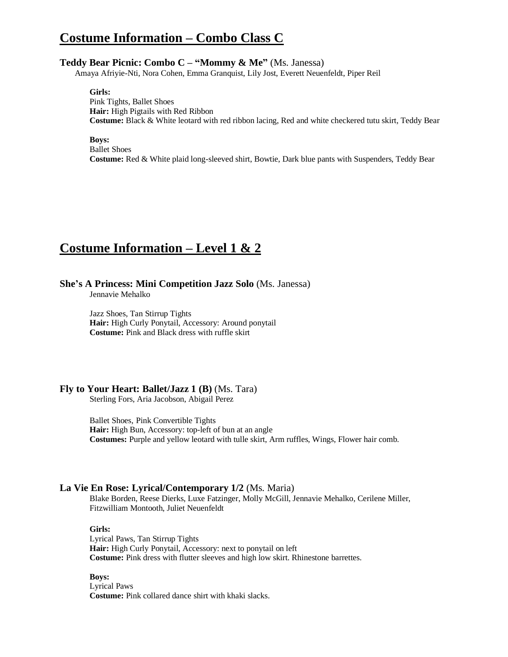# **Costume Information – Combo Class C**

### **Teddy Bear Picnic: Combo C – "Mommy & Me"** (Ms. Janessa)

Amaya Afriyie-Nti, Nora Cohen, Emma Granquist, Lily Jost, Everett Neuenfeldt, Piper Reil

**Girls:** Pink Tights, Ballet Shoes **Hair:** High Pigtails with Red Ribbon **Costume:** Black & White leotard with red ribbon lacing, Red and white checkered tutu skirt, Teddy Bear

**Boys:** Ballet Shoes

**Costume:** Red & White plaid long-sleeved shirt, Bowtie, Dark blue pants with Suspenders, Teddy Bear

# **Costume Information – Level 1 & 2**

### **She's A Princess: Mini Competition Jazz Solo** (Ms. Janessa)

Jennavie Mehalko

Jazz Shoes, Tan Stirrup Tights **Hair:** High Curly Ponytail, Accessory: Around ponytail **Costume:** Pink and Black dress with ruffle skirt

## **Fly to Your Heart: Ballet/Jazz 1 (B)** (Ms. Tara)

Sterling Fors, Aria Jacobson, Abigail Perez

Ballet Shoes, Pink Convertible Tights **Hair:** High Bun, Accessory: top-left of bun at an angle **Costumes:** Purple and yellow leotard with tulle skirt, Arm ruffles, Wings, Flower hair comb.

# **La Vie En Rose: Lyrical/Contemporary 1/2** (Ms. Maria)

Blake Borden, Reese Dierks, Luxe Fatzinger, Molly McGill, Jennavie Mehalko, Cerilene Miller, Fitzwilliam Montooth, Juliet Neuenfeldt

### **Girls:**

Lyrical Paws, Tan Stirrup Tights **Hair:** High Curly Ponytail, Accessory: next to ponytail on left **Costume:** Pink dress with flutter sleeves and high low skirt. Rhinestone barrettes.

**Boys:**

Lyrical Paws **Costume:** Pink collared dance shirt with khaki slacks.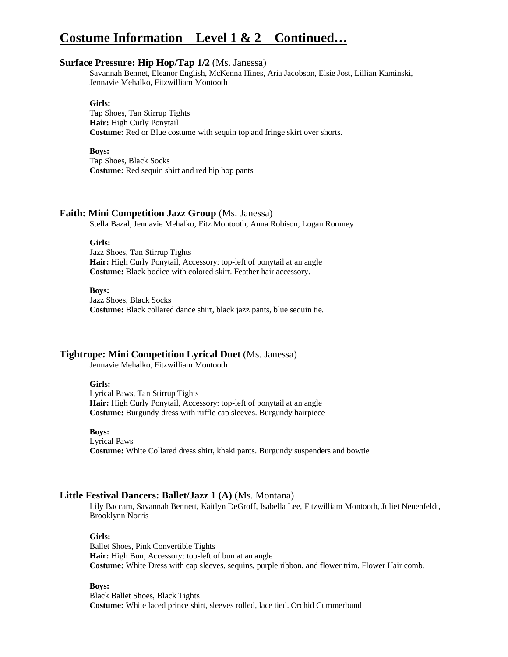# **Costume Information – Level 1 & 2 – Continued…**

### **Surface Pressure: Hip Hop/Tap 1/2** (Ms. Janessa)

Savannah Bennet, Eleanor English, McKenna Hines, Aria Jacobson, Elsie Jost, Lillian Kaminski, Jennavie Mehalko, Fitzwilliam Montooth

#### **Girls:**

Tap Shoes, Tan Stirrup Tights **Hair:** High Curly Ponytail **Costume:** Red or Blue costume with sequin top and fringe skirt over shorts.

### **Boys:**

Tap Shoes, Black Socks **Costume:** Red sequin shirt and red hip hop pants

### **Faith: Mini Competition Jazz Group** (Ms. Janessa)

Stella Bazal, Jennavie Mehalko, Fitz Montooth, Anna Robison, Logan Romney

#### **Girls:**

Jazz Shoes, Tan Stirrup Tights **Hair:** High Curly Ponytail, Accessory: top-left of ponytail at an angle **Costume:** Black bodice with colored skirt. Feather hair accessory.

### **Boys:**

Jazz Shoes, Black Socks **Costume:** Black collared dance shirt, black jazz pants, blue sequin tie.

### **Tightrope: Mini Competition Lyrical Duet** (Ms. Janessa)

Jennavie Mehalko, Fitzwilliam Montooth

### **Girls:**

Lyrical Paws, Tan Stirrup Tights **Hair:** High Curly Ponytail, Accessory: top-left of ponytail at an angle **Costume:** Burgundy dress with ruffle cap sleeves. Burgundy hairpiece

### **Boys:**

Lyrical Paws **Costume:** White Collared dress shirt, khaki pants. Burgundy suspenders and bowtie

### **Little Festival Dancers: Ballet/Jazz 1 (A)** (Ms. Montana)

 Lily Baccam, Savannah Bennett, Kaitlyn DeGroff, Isabella Lee, Fitzwilliam Montooth, Juliet Neuenfeldt, Brooklynn Norris

### **Girls:**

Ballet Shoes, Pink Convertible Tights **Hair:** High Bun, Accessory: top-left of bun at an angle **Costume:** White Dress with cap sleeves, sequins, purple ribbon, and flower trim. Flower Hair comb.

#### **Boys:**

Black Ballet Shoes, Black Tights **Costume:** White laced prince shirt, sleeves rolled, lace tied. Orchid Cummerbund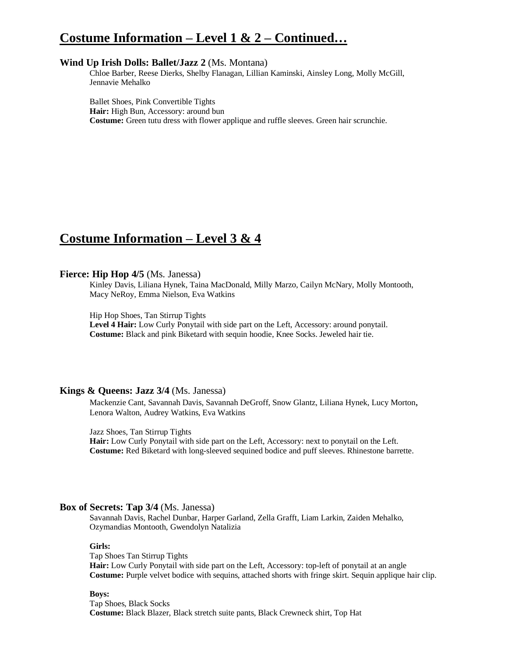# **Costume Information – Level 1 & 2 – Continued…**

### **Wind Up Irish Dolls: Ballet/Jazz 2** (Ms. Montana)

Chloe Barber, Reese Dierks, Shelby Flanagan, Lillian Kaminski, Ainsley Long, Molly McGill, Jennavie Mehalko

Ballet Shoes, Pink Convertible Tights **Hair:** High Bun, Accessory: around bun **Costume:** Green tutu dress with flower applique and ruffle sleeves. Green hair scrunchie.

# **Costume Information – Level 3 & 4**

# **Fierce: Hip Hop 4/5** (Ms. Janessa)

Kinley Davis, Liliana Hynek, Taina MacDonald, Milly Marzo, Cailyn McNary, Molly Montooth, Macy NeRoy, Emma Nielson, Eva Watkins

Hip Hop Shoes, Tan Stirrup Tights

**Level 4 Hair:** Low Curly Ponytail with side part on the Left, Accessory: around ponytail. **Costume:** Black and pink Biketard with sequin hoodie, Knee Socks. Jeweled hair tie.

# **Kings & Queens: Jazz 3/4** (Ms. Janessa)

Mackenzie Cant, Savannah Davis, Savannah DeGroff, Snow Glantz, Liliana Hynek, Lucy Morton, Lenora Walton, Audrey Watkins, Eva Watkins

Jazz Shoes, Tan Stirrup Tights

**Hair:** Low Curly Ponytail with side part on the Left, Accessory: next to ponytail on the Left. **Costume:** Red Biketard with long-sleeved sequined bodice and puff sleeves. Rhinestone barrette.

### **Box of Secrets: Tap 3/4** (Ms. Janessa)

Savannah Davis, Rachel Dunbar, Harper Garland, Zella Grafft, Liam Larkin, Zaiden Mehalko, Ozymandias Montooth, Gwendolyn Natalizia

### **Girls:**

Tap Shoes Tan Stirrup Tights **Hair:** Low Curly Ponytail with side part on the Left, Accessory: top-left of ponytail at an angle **Costume:** Purple velvet bodice with sequins, attached shorts with fringe skirt. Sequin applique hair clip.

### **Boys:**

Tap Shoes, Black Socks **Costume:** Black Blazer, Black stretch suite pants, Black Crewneck shirt, Top Hat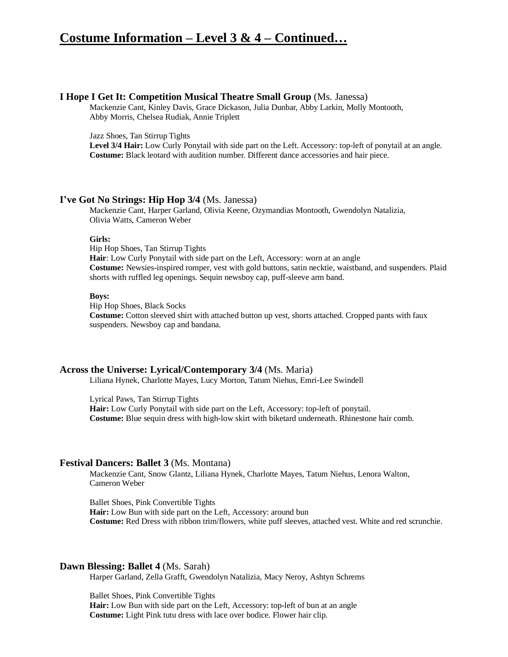# **Costume Information – Level 3 & 4 – Continued…**

### **I Hope I Get It: Competition Musical Theatre Small Group** (Ms. Janessa)

Mackenzie Cant, Kinley Davis, Grace Dickason, Julia Dunbar, Abby Larkin, Molly Montooth, Abby Morris, Chelsea Rudiak, Annie Triplett

Jazz Shoes, Tan Stirrup Tights

**Level 3/4 Hair:** Low Curly Ponytail with side part on the Left. Accessory: top-left of ponytail at an angle. **Costume:** Black leotard with audition number. Different dance accessories and hair piece.

### **I've Got No Strings: Hip Hop 3/4** (Ms. Janessa)

Mackenzie Cant, Harper Garland, Olivia Keene, Ozymandias Montooth, Gwendolyn Natalizia, Olivia Watts, Cameron Weber

#### **Girls:**

Hip Hop Shoes, Tan Stirrup Tights

**Hair**: Low Curly Ponytail with side part on the Left, Accessory: worn at an angle **Costume:** Newsies-inspired romper, vest with gold buttons, satin necktie, waistband, and suspenders. Plaid shorts with ruffled leg openings. Sequin newsboy cap, puff-sleeve arm band.

#### **Boys:**

Hip Hop Shoes, Black Socks **Costume:** Cotton sleeved shirt with attached button up vest, shorts attached. Cropped pants with faux suspenders. Newsboy cap and bandana.

## **Across the Universe: Lyrical/Contemporary 3/4** (Ms. Maria)

Liliana Hynek, Charlotte Mayes, Lucy Morton, Tatum Niehus, Emri-Lee Swindell

Lyrical Paws, Tan Stirrup Tights

**Hair:** Low Curly Ponytail with side part on the Left, Accessory: top-left of ponytail. **Costume:** Blue sequin dress with high-low skirt with biketard underneath. Rhinestone hair comb.

### **Festival Dancers: Ballet 3** (Ms. Montana)

Mackenzie Cant, Snow Glantz, Liliana Hynek, Charlotte Mayes, Tatum Niehus, Lenora Walton, Cameron Weber

Ballet Shoes, Pink Convertible Tights **Hair:** Low Bun with side part on the Left, Accessory: around bun **Costume:** Red Dress with ribbon trim/flowers, white puff sleeves, attached vest. White and red scrunchie.

## **Dawn Blessing: Ballet 4** (Ms. Sarah)

Harper Garland, Zella Grafft, Gwendolyn Natalizia, Macy Neroy, Ashtyn Schrems

Ballet Shoes, Pink Convertible Tights

**Hair:** Low Bun with side part on the Left, Accessory: top-left of bun at an angle **Costume:** Light Pink tutu dress with lace over bodice. Flower hair clip.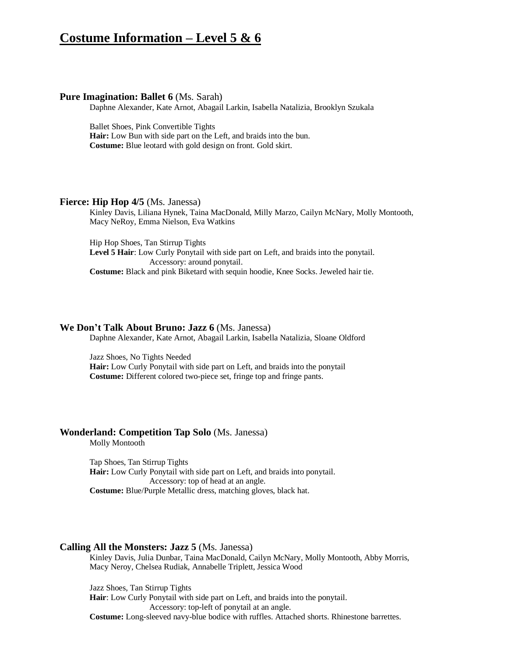# **Costume Information – Level 5 & 6**

### **Pure Imagination: Ballet 6** (Ms. Sarah)

Daphne Alexander, Kate Arnot, Abagail Larkin, Isabella Natalizia, Brooklyn Szukala

Ballet Shoes, Pink Convertible Tights

**Hair:** Low Bun with side part on the Left, and braids into the bun. **Costume:** Blue leotard with gold design on front. Gold skirt.

### **Fierce: Hip Hop 4/5** (Ms. Janessa)

Kinley Davis, Liliana Hynek, Taina MacDonald, Milly Marzo, Cailyn McNary, Molly Montooth, Macy NeRoy, Emma Nielson, Eva Watkins

Hip Hop Shoes, Tan Stirrup Tights **Level 5 Hair**: Low Curly Ponytail with side part on Left, and braids into the ponytail. Accessory: around ponytail. **Costume:** Black and pink Biketard with sequin hoodie, Knee Socks. Jeweled hair tie.

## **We Don't Talk About Bruno: Jazz 6** (Ms. Janessa)

Daphne Alexander, Kate Arnot, Abagail Larkin, Isabella Natalizia, Sloane Oldford

Jazz Shoes, No Tights Needed

**Hair:** Low Curly Ponytail with side part on Left, and braids into the ponytail **Costume:** Different colored two-piece set, fringe top and fringe pants.

### **Wonderland: Competition Tap Solo** (Ms. Janessa)

Molly Montooth

Tap Shoes, Tan Stirrup Tights **Hair:** Low Curly Ponytail with side part on Left, and braids into ponytail. Accessory: top of head at an angle. **Costume:** Blue/Purple Metallic dress, matching gloves, black hat.

## **Calling All the Monsters: Jazz 5** (Ms. Janessa)

Kinley Davis, Julia Dunbar, Taina MacDonald, Cailyn McNary, Molly Montooth, Abby Morris, Macy Neroy, Chelsea Rudiak, Annabelle Triplett, Jessica Wood

Jazz Shoes, Tan Stirrup Tights

**Hair**: Low Curly Ponytail with side part on Left, and braids into the ponytail. Accessory: top-left of ponytail at an angle.

**Costume:** Long-sleeved navy-blue bodice with ruffles. Attached shorts. Rhinestone barrettes.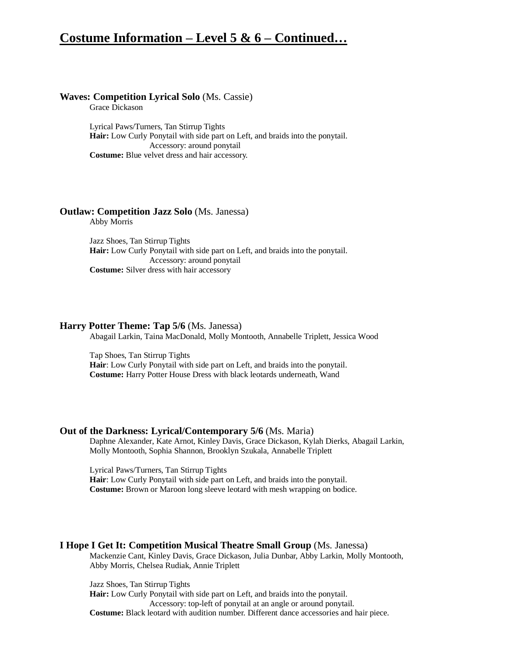# **Costume Information – Level 5 & 6 – Continued…**

### **Waves: Competition Lyrical Solo** (Ms. Cassie)

Grace Dickason

Lyrical Paws/Turners, Tan Stirrup Tights **Hair:** Low Curly Ponytail with side part on Left, and braids into the ponytail. Accessory: around ponytail **Costume:** Blue velvet dress and hair accessory.

# **Outlaw: Competition Jazz Solo** (Ms. Janessa)

Abby Morris

Jazz Shoes, Tan Stirrup Tights **Hair:** Low Curly Ponytail with side part on Left, and braids into the ponytail. Accessory: around ponytail **Costume:** Silver dress with hair accessory

### **Harry Potter Theme: Tap 5/6** (Ms. Janessa)

Abagail Larkin, Taina MacDonald, Molly Montooth, Annabelle Triplett, Jessica Wood

Tap Shoes, Tan Stirrup Tights **Hair**: Low Curly Ponytail with side part on Left, and braids into the ponytail. **Costume:** Harry Potter House Dress with black leotards underneath, Wand

### **Out of the Darkness: Lyrical/Contemporary 5/6** (Ms. Maria)

Daphne Alexander, Kate Arnot, Kinley Davis, Grace Dickason, Kylah Dierks, Abagail Larkin, Molly Montooth, Sophia Shannon, Brooklyn Szukala, Annabelle Triplett

Lyrical Paws/Turners, Tan Stirrup Tights **Hair**: Low Curly Ponytail with side part on Left, and braids into the ponytail. **Costume:** Brown or Maroon long sleeve leotard with mesh wrapping on bodice.

### **I Hope I Get It: Competition Musical Theatre Small Group** (Ms. Janessa)

Mackenzie Cant, Kinley Davis, Grace Dickason, Julia Dunbar, Abby Larkin, Molly Montooth, Abby Morris, Chelsea Rudiak, Annie Triplett

Jazz Shoes, Tan Stirrup Tights

**Hair:** Low Curly Ponytail with side part on Left, and braids into the ponytail. Accessory: top-left of ponytail at an angle or around ponytail. **Costume:** Black leotard with audition number. Different dance accessories and hair piece.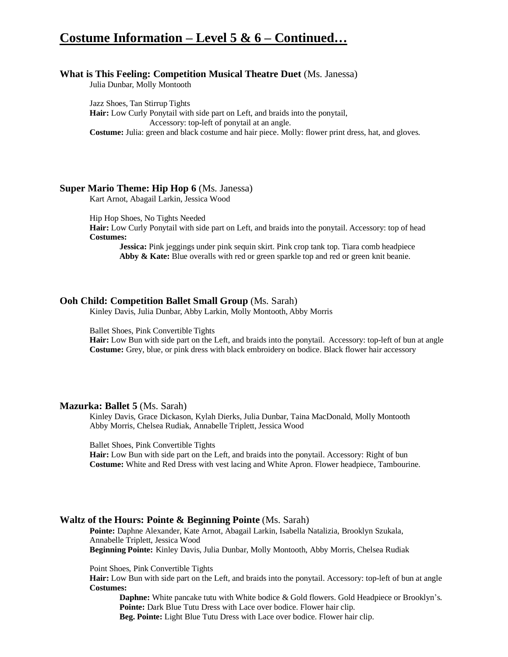# **Costume Information – Level 5 & 6 – Continued…**

## **What is This Feeling: Competition Musical Theatre Duet** (Ms. Janessa)

Julia Dunbar, Molly Montooth

Jazz Shoes, Tan Stirrup Tights **Hair:** Low Curly Ponytail with side part on Left, and braids into the ponytail, Accessory: top-left of ponytail at an angle. **Costume:** Julia: green and black costume and hair piece. Molly: flower print dress, hat, and gloves.

# **Super Mario Theme: Hip Hop 6** (Ms. Janessa)

Kart Arnot, Abagail Larkin, Jessica Wood

Hip Hop Shoes, No Tights Needed

**Hair:** Low Curly Ponytail with side part on Left, and braids into the ponytail. Accessory: top of head **Costumes:**

**Jessica:** Pink jeggings under pink sequin skirt. Pink crop tank top. Tiara comb headpiece Abby & Kate: Blue overalls with red or green sparkle top and red or green knit beanie.

# **Ooh Child: Competition Ballet Small Group** (Ms. Sarah)

Kinley Davis, Julia Dunbar, Abby Larkin, Molly Montooth, Abby Morris

Ballet Shoes, Pink Convertible Tights

**Hair:** Low Bun with side part on the Left, and braids into the ponytail. Accessory: top-left of bun at angle **Costume:** Grey, blue, or pink dress with black embroidery on bodice. Black flower hair accessory

### **Mazurka: Ballet 5** (Ms. Sarah)

Kinley Davis, Grace Dickason, Kylah Dierks, Julia Dunbar, Taina MacDonald, Molly Montooth Abby Morris, Chelsea Rudiak, Annabelle Triplett, Jessica Wood

Ballet Shoes, Pink Convertible Tights

**Hair:** Low Bun with side part on the Left, and braids into the ponytail. Accessory: Right of bun **Costume:** White and Red Dress with vest lacing and White Apron. Flower headpiece, Tambourine.

# **Waltz of the Hours: Pointe & Beginning Pointe** (Ms. Sarah)

**Pointe:** Daphne Alexander, Kate Arnot, Abagail Larkin, Isabella Natalizia, Brooklyn Szukala, Annabelle Triplett, Jessica Wood **Beginning Pointe:** Kinley Davis, Julia Dunbar, Molly Montooth, Abby Morris, Chelsea Rudiak

Point Shoes, Pink Convertible Tights

**Hair:** Low Bun with side part on the Left, and braids into the ponytail. Accessory: top-left of bun at angle **Costumes:**

**Daphne:** White pancake tutu with White bodice & Gold flowers. Gold Headpiece or Brooklyn's. Pointe: Dark Blue Tutu Dress with Lace over bodice. Flower hair clip. **Beg. Pointe:** Light Blue Tutu Dress with Lace over bodice. Flower hair clip.